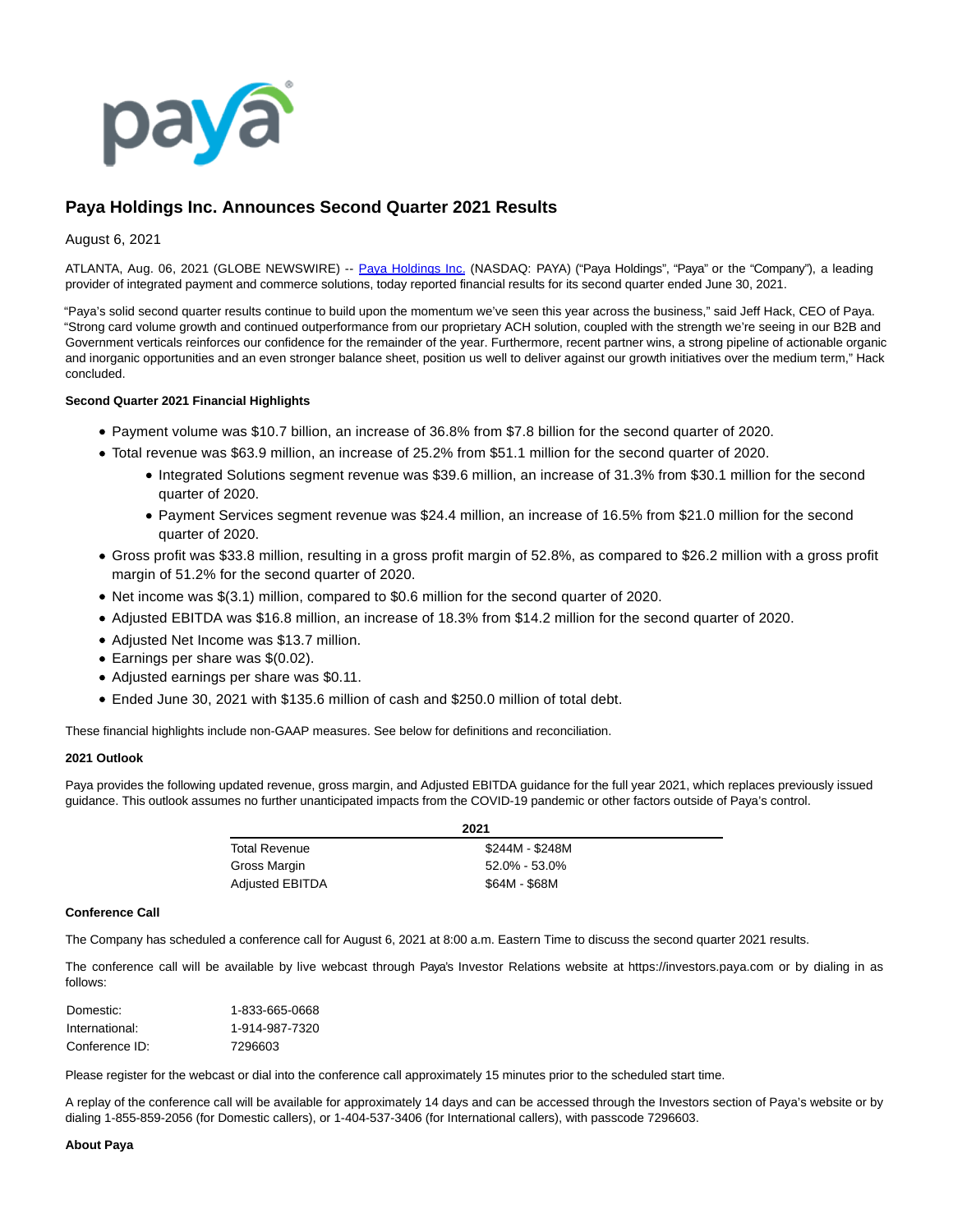

# **Paya Holdings Inc. Announces Second Quarter 2021 Results**

## August 6, 2021

ATLANTA, Aug. 06, 2021 (GLOBE NEWSWIRE) -- [Paya Holdings Inc.](https://www.globenewswire.com/Tracker?data=5L9sI8JDqUjeTD_K7shUn1NUPTfiQqWzAMPr44cuD58LwW5HZkxys-KlP9p0NRTHgXiMxEWN3C-9v5GmgtJwaQ==) (NASDAQ: PAYA) ("Paya Holdings", "Paya" or the "Company"), a leading provider of integrated payment and commerce solutions, today reported financial results for its second quarter ended June 30, 2021.

"Paya's solid second quarter results continue to build upon the momentum we've seen this year across the business," said Jeff Hack, CEO of Paya. "Strong card volume growth and continued outperformance from our proprietary ACH solution, coupled with the strength we're seeing in our B2B and Government verticals reinforces our confidence for the remainder of the year. Furthermore, recent partner wins, a strong pipeline of actionable organic and inorganic opportunities and an even stronger balance sheet, position us well to deliver against our growth initiatives over the medium term," Hack concluded.

### **Second Quarter 2021 Financial Highlights**

- Payment volume was \$10.7 billion, an increase of 36.8% from \$7.8 billion for the second quarter of 2020.
- Total revenue was \$63.9 million, an increase of 25.2% from \$51.1 million for the second quarter of 2020.
	- Integrated Solutions segment revenue was \$39.6 million, an increase of 31.3% from \$30.1 million for the second quarter of 2020.
	- Payment Services segment revenue was \$24.4 million, an increase of 16.5% from \$21.0 million for the second quarter of 2020.
- Gross profit was \$33.8 million, resulting in a gross profit margin of 52.8%, as compared to \$26.2 million with a gross profit margin of 51.2% for the second quarter of 2020.
- Net income was \$(3.1) million, compared to \$0.6 million for the second quarter of 2020.
- Adjusted EBITDA was \$16.8 million, an increase of 18.3% from \$14.2 million for the second quarter of 2020.
- Adjusted Net Income was \$13.7 million.
- Earnings per share was \$(0.02).
- Adjusted earnings per share was \$0.11.
- Ended June 30, 2021 with \$135.6 million of cash and \$250.0 million of total debt.

These financial highlights include non-GAAP measures. See below for definitions and reconciliation.

## **2021 Outlook**

Paya provides the following updated revenue, gross margin, and Adjusted EBITDA guidance for the full year 2021, which replaces previously issued guidance. This outlook assumes no further unanticipated impacts from the COVID-19 pandemic or other factors outside of Paya's control.

| 2021                   |                 |  |  |  |  |  |  |
|------------------------|-----------------|--|--|--|--|--|--|
| <b>Total Revenue</b>   | \$244M - \$248M |  |  |  |  |  |  |
| Gross Margin           | 52.0% - 53.0%   |  |  |  |  |  |  |
| <b>Adjusted EBITDA</b> | \$64M - \$68M   |  |  |  |  |  |  |

#### **Conference Call**

The Company has scheduled a conference call for August 6, 2021 at 8:00 a.m. Eastern Time to discuss the second quarter 2021 results.

The conference call will be available by live webcast through Paya's Investor Relations website at https://investors.paya.com or by dialing in as follows:

| Domestic:      | 1-833-665-0668 |
|----------------|----------------|
| International: | 1-914-987-7320 |
| Conference ID: | 7296603        |

Please register for the webcast or dial into the conference call approximately 15 minutes prior to the scheduled start time.

A replay of the conference call will be available for approximately 14 days and can be accessed through the Investors section of Paya's website or by dialing 1-855-859-2056 (for Domestic callers), or 1-404-537-3406 (for International callers), with passcode 7296603.

#### **About Paya**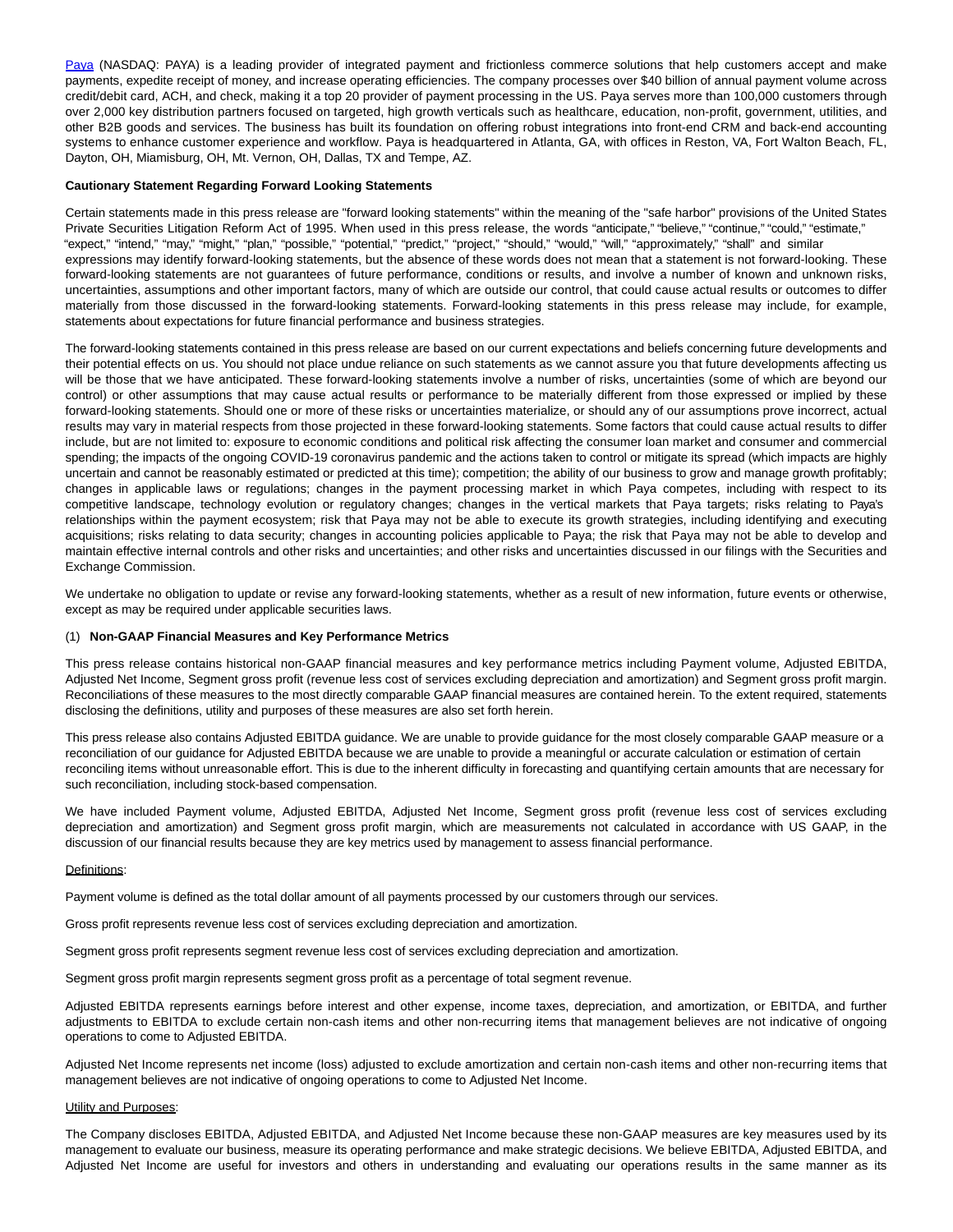[Paya](https://www.globenewswire.com/Tracker?data=cWYanI7LEaPzIq4-hsUDlFq41nCiBAeufOpozCzRUOsZ8QFBTPcSF08RypwWarGH) (NASDAQ: PAYA) is a leading provider of integrated payment and frictionless commerce solutions that help customers accept and make payments, expedite receipt of money, and increase operating efficiencies. The company processes over \$40 billion of annual payment volume across credit/debit card, ACH, and check, making it a top 20 provider of payment processing in the US. Paya serves more than 100,000 customers through over 2,000 key distribution partners focused on targeted, high growth verticals such as healthcare, education, non-profit, government, utilities, and other B2B goods and services. The business has built its foundation on offering robust integrations into front-end CRM and back-end accounting systems to enhance customer experience and workflow. Paya is headquartered in Atlanta, GA, with offices in Reston, VA, Fort Walton Beach, FL, Dayton, OH, Miamisburg, OH, Mt. Vernon, OH, Dallas, TX and Tempe, AZ.

#### **Cautionary Statement Regarding Forward Looking Statements**

Certain statements made in this press release are "forward looking statements" within the meaning of the "safe harbor" provisions of the United States Private Securities Litigation Reform Act of 1995. When used in this press release, the words "anticipate," "believe," "continue," "could," "estimate," "expect," "intend," "may," "might," "plan," "possible," "potential," "predict," "project," "should," "would," "will," "approximately," "shall" and similar expressions may identify forward-looking statements, but the absence of these words does not mean that a statement is not forward-looking. These forward-looking statements are not guarantees of future performance, conditions or results, and involve a number of known and unknown risks, uncertainties, assumptions and other important factors, many of which are outside our control, that could cause actual results or outcomes to differ materially from those discussed in the forward-looking statements. Forward-looking statements in this press release may include, for example, statements about expectations for future financial performance and business strategies.

The forward-looking statements contained in this press release are based on our current expectations and beliefs concerning future developments and their potential effects on us. You should not place undue reliance on such statements as we cannot assure you that future developments affecting us will be those that we have anticipated. These forward-looking statements involve a number of risks, uncertainties (some of which are beyond our control) or other assumptions that may cause actual results or performance to be materially different from those expressed or implied by these forward-looking statements. Should one or more of these risks or uncertainties materialize, or should any of our assumptions prove incorrect, actual results may vary in material respects from those projected in these forward-looking statements. Some factors that could cause actual results to differ include, but are not limited to: exposure to economic conditions and political risk affecting the consumer loan market and consumer and commercial spending; the impacts of the ongoing COVID-19 coronavirus pandemic and the actions taken to control or mitigate its spread (which impacts are highly uncertain and cannot be reasonably estimated or predicted at this time); competition; the ability of our business to grow and manage growth profitably; changes in applicable laws or regulations; changes in the payment processing market in which Paya competes, including with respect to its competitive landscape, technology evolution or regulatory changes; changes in the vertical markets that Paya targets; risks relating to Paya's relationships within the payment ecosystem; risk that Paya may not be able to execute its growth strategies, including identifying and executing acquisitions; risks relating to data security; changes in accounting policies applicable to Paya; the risk that Paya may not be able to develop and maintain effective internal controls and other risks and uncertainties; and other risks and uncertainties discussed in our filings with the Securities and Exchange Commission.

We undertake no obligation to update or revise any forward-looking statements, whether as a result of new information, future events or otherwise, except as may be required under applicable securities laws.

### (1) **Non-GAAP Financial Measures and Key Performance Metrics**

This press release contains historical non-GAAP financial measures and key performance metrics including Payment volume, Adjusted EBITDA, Adjusted Net Income, Segment gross profit (revenue less cost of services excluding depreciation and amortization) and Segment gross profit margin. Reconciliations of these measures to the most directly comparable GAAP financial measures are contained herein. To the extent required, statements disclosing the definitions, utility and purposes of these measures are also set forth herein.

This press release also contains Adjusted EBITDA guidance. We are unable to provide guidance for the most closely comparable GAAP measure or a reconciliation of our guidance for Adjusted EBITDA because we are unable to provide a meaningful or accurate calculation or estimation of certain reconciling items without unreasonable effort. This is due to the inherent difficulty in forecasting and quantifying certain amounts that are necessary for such reconciliation, including stock-based compensation.

We have included Payment volume, Adjusted EBITDA, Adjusted Net Income, Segment gross profit (revenue less cost of services excluding depreciation and amortization) and Segment gross profit margin, which are measurements not calculated in accordance with US GAAP, in the discussion of our financial results because they are key metrics used by management to assess financial performance.

#### Definitions:

Payment volume is defined as the total dollar amount of all payments processed by our customers through our services.

Gross profit represents revenue less cost of services excluding depreciation and amortization.

Segment gross profit represents segment revenue less cost of services excluding depreciation and amortization.

Segment gross profit margin represents segment gross profit as a percentage of total segment revenue.

Adjusted EBITDA represents earnings before interest and other expense, income taxes, depreciation, and amortization, or EBITDA, and further adjustments to EBITDA to exclude certain non-cash items and other non-recurring items that management believes are not indicative of ongoing operations to come to Adjusted EBITDA.

Adjusted Net Income represents net income (loss) adjusted to exclude amortization and certain non-cash items and other non-recurring items that management believes are not indicative of ongoing operations to come to Adjusted Net Income.

#### **Utility and Purposes:**

The Company discloses EBITDA, Adjusted EBITDA, and Adjusted Net Income because these non-GAAP measures are key measures used by its management to evaluate our business, measure its operating performance and make strategic decisions. We believe EBITDA, Adjusted EBITDA, and Adjusted Net Income are useful for investors and others in understanding and evaluating our operations results in the same manner as its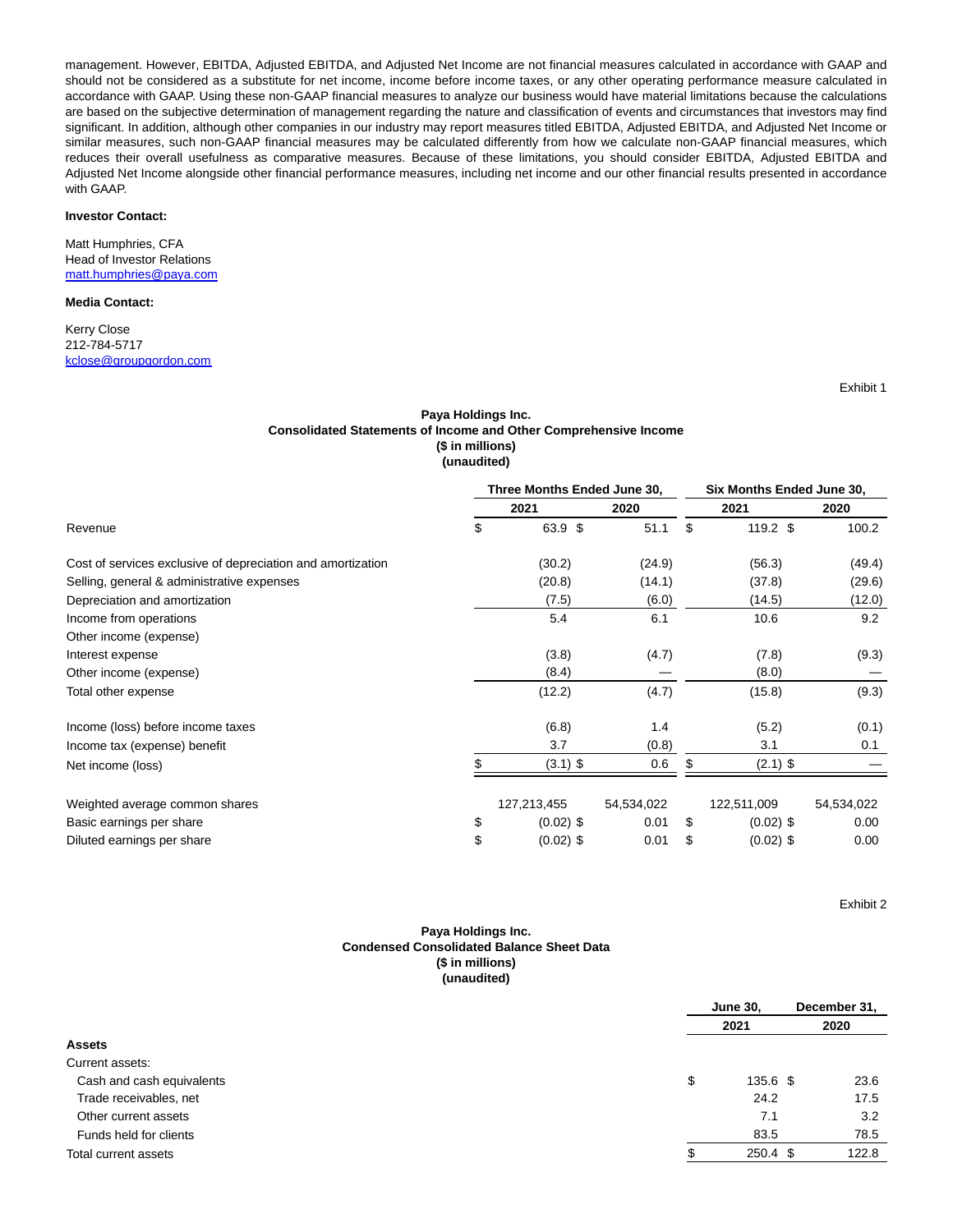management. However, EBITDA, Adjusted EBITDA, and Adjusted Net Income are not financial measures calculated in accordance with GAAP and should not be considered as a substitute for net income, income before income taxes, or any other operating performance measure calculated in accordance with GAAP. Using these non-GAAP financial measures to analyze our business would have material limitations because the calculations are based on the subjective determination of management regarding the nature and classification of events and circumstances that investors may find significant. In addition, although other companies in our industry may report measures titled EBITDA, Adjusted EBITDA, and Adjusted Net Income or similar measures, such non-GAAP financial measures may be calculated differently from how we calculate non-GAAP financial measures, which reduces their overall usefulness as comparative measures. Because of these limitations, you should consider EBITDA, Adjusted EBITDA and Adjusted Net Income alongside other financial performance measures, including net income and our other financial results presented in accordance with GAAP.

### **Investor Contact:**

Matt Humphries, CFA Head of Investor Relations [matt.humphries@paya.com](https://www.globenewswire.com/Tracker?data=Jx9Y6690S_OAV4LqUx55Bd9NyKLg89etCuqB6G2WkDavu-LWCohec69_PFBTq8CF8vMAeBvbVvGRV4jkyEB69H19P5eysFANoNUTclLywOY=)

#### **Media Contact:**

Kerry Close 212-784-5717 [kclose@groupgordon.com](https://www.globenewswire.com/Tracker?data=yxYMOo7pPDASOUNyI7boai2di8d3CkA1ikZ4H_yEGt7_Qb1F7-TFeGNwV3IiKsQyNBmWxq5fzGoc51log0pKoY-Ylk-cU0C3aWl6cPdUkVY=)

Exhibit 1

## **Paya Holdings Inc. Consolidated Statements of Income and Other Comprehensive Income (\$ in millions) (unaudited)**

|                                                             | Three Months Ended June 30, |            | Six Months Ended June 30, |             |            |  |  |
|-------------------------------------------------------------|-----------------------------|------------|---------------------------|-------------|------------|--|--|
|                                                             | 2021                        | 2020       |                           | 2021        | 2020       |  |  |
| Revenue                                                     | \$<br>63.9 \$               | 51.1       | \$                        | $119.2$ \$  | 100.2      |  |  |
| Cost of services exclusive of depreciation and amortization | (30.2)                      | (24.9)     |                           | (56.3)      | (49.4)     |  |  |
| Selling, general & administrative expenses                  | (20.8)                      | (14.1)     |                           | (37.8)      | (29.6)     |  |  |
| Depreciation and amortization                               | (7.5)                       | (6.0)      |                           | (14.5)      | (12.0)     |  |  |
| Income from operations                                      | 5.4                         | 6.1        |                           | 10.6        | 9.2        |  |  |
| Other income (expense)                                      |                             |            |                           |             |            |  |  |
| Interest expense                                            | (3.8)                       | (4.7)      |                           | (7.8)       | (9.3)      |  |  |
| Other income (expense)                                      | (8.4)                       |            |                           | (8.0)       |            |  |  |
| Total other expense                                         | (12.2)                      | (4.7)      |                           | (15.8)      | (9.3)      |  |  |
| Income (loss) before income taxes                           | (6.8)                       | 1.4        |                           | (5.2)       | (0.1)      |  |  |
| Income tax (expense) benefit                                | 3.7                         | (0.8)      |                           | 3.1         | 0.1        |  |  |
| Net income (loss)                                           | $(3.1)$ \$                  | 0.6        |                           | $(2.1)$ \$  |            |  |  |
| Weighted average common shares                              | 127,213,455                 | 54,534,022 |                           | 122,511,009 | 54,534,022 |  |  |
| Basic earnings per share                                    | \$<br>$(0.02)$ \$           | 0.01       | S                         | $(0.02)$ \$ | 0.00       |  |  |
| Diluted earnings per share                                  | \$<br>$(0.02)$ \$           | 0.01       | S                         | $(0.02)$ \$ | 0.00       |  |  |

Exhibit 2

### **Paya Holdings Inc. Condensed Consolidated Balance Sheet Data (\$ in millions) (unaudited)**

|                           | <b>June 30,</b> | December 31, |       |
|---------------------------|-----------------|--------------|-------|
|                           | 2021            |              | 2020  |
| <b>Assets</b>             |                 |              |       |
| Current assets:           |                 |              |       |
| Cash and cash equivalents | \$<br>135.6 \$  |              | 23.6  |
| Trade receivables, net    | 24.2            |              | 17.5  |
| Other current assets      | 7.1             |              | 3.2   |
| Funds held for clients    | 83.5            |              | 78.5  |
| Total current assets      | 250.4 \$        |              | 122.8 |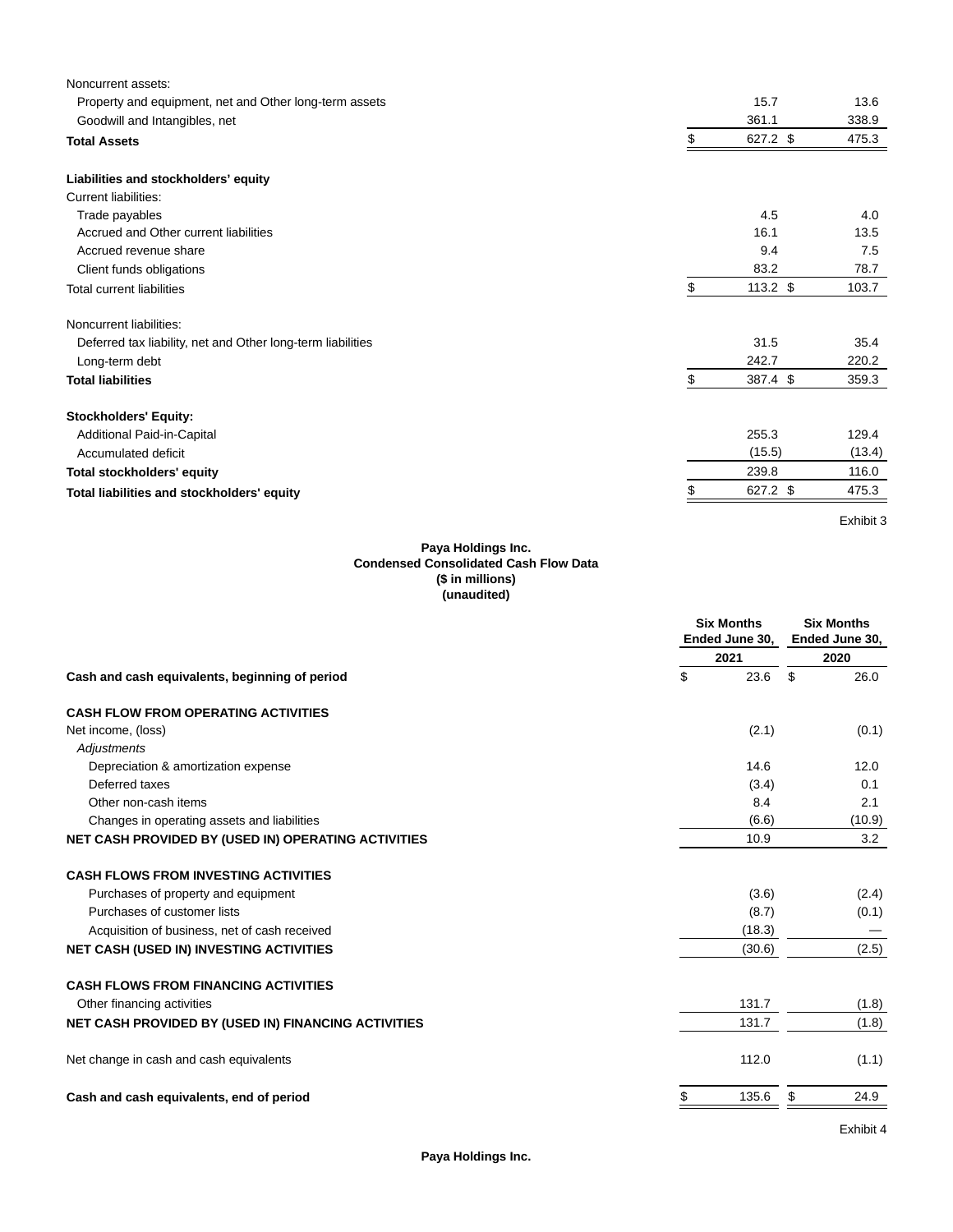| Noncurrent assets:                                          |    |            |        |
|-------------------------------------------------------------|----|------------|--------|
| Property and equipment, net and Other long-term assets      |    | 15.7       | 13.6   |
| Goodwill and Intangibles, net                               |    | 361.1      | 338.9  |
| <b>Total Assets</b>                                         | \$ | 627.2 \$   | 475.3  |
| Liabilities and stockholders' equity                        |    |            |        |
| Current liabilities:                                        |    |            |        |
| Trade payables                                              |    | 4.5        | 4.0    |
| Accrued and Other current liabilities                       |    | 16.1       | 13.5   |
| Accrued revenue share                                       |    | 9.4        | 7.5    |
| Client funds obligations                                    |    | 83.2       | 78.7   |
| <b>Total current liabilities</b>                            | \$ | $113.2$ \$ | 103.7  |
| Noncurrent liabilities:                                     |    |            |        |
| Deferred tax liability, net and Other long-term liabilities |    | 31.5       | 35.4   |
| Long-term debt                                              |    | 242.7      | 220.2  |
| <b>Total liabilities</b>                                    | \$ | 387.4 \$   | 359.3  |
| <b>Stockholders' Equity:</b>                                |    |            |        |
| Additional Paid-in-Capital                                  |    | 255.3      | 129.4  |
| Accumulated deficit                                         |    | (15.5)     | (13.4) |
| <b>Total stockholders' equity</b>                           |    | 239.8      | 116.0  |
| Total liabilities and stockholders' equity                  | S  | 627.2 \$   | 475.3  |
|                                                             |    |            |        |

Exhibit 3

### **Paya Holdings Inc. Condensed Consolidated Cash Flow Data (\$ in millions) (unaudited)**

|                                                                                                                                                                                                                                                     | <b>Six Months</b><br>Ended June 30, | <b>Six Months</b><br>Ended June 30, |  |  |
|-----------------------------------------------------------------------------------------------------------------------------------------------------------------------------------------------------------------------------------------------------|-------------------------------------|-------------------------------------|--|--|
| Depreciation & amortization expense<br>Deferred taxes<br>Other non-cash items<br>Changes in operating assets and liabilities<br>Purchases of property and equipment<br>Purchases of customer lists<br>Acquisition of business, net of cash received | 2021                                | 2020                                |  |  |
| Cash and cash equivalents, beginning of period                                                                                                                                                                                                      | \$<br>23.6                          | \$<br>26.0                          |  |  |
| <b>CASH FLOW FROM OPERATING ACTIVITIES</b>                                                                                                                                                                                                          |                                     |                                     |  |  |
| Net income, (loss)                                                                                                                                                                                                                                  | (2.1)                               | (0.1)                               |  |  |
| Adjustments                                                                                                                                                                                                                                         |                                     |                                     |  |  |
|                                                                                                                                                                                                                                                     | 14.6                                | 12.0                                |  |  |
|                                                                                                                                                                                                                                                     | (3.4)                               | 0.1                                 |  |  |
|                                                                                                                                                                                                                                                     | 8.4                                 | 2.1                                 |  |  |
|                                                                                                                                                                                                                                                     | (6.6)                               | (10.9)                              |  |  |
| NET CASH PROVIDED BY (USED IN) OPERATING ACTIVITIES                                                                                                                                                                                                 | 10.9                                | 3.2                                 |  |  |
| <b>CASH FLOWS FROM INVESTING ACTIVITIES</b>                                                                                                                                                                                                         |                                     |                                     |  |  |
|                                                                                                                                                                                                                                                     | (3.6)                               | (2.4)                               |  |  |
|                                                                                                                                                                                                                                                     | (8.7)                               | (0.1)                               |  |  |
|                                                                                                                                                                                                                                                     | (18.3)                              |                                     |  |  |
| <b>NET CASH (USED IN) INVESTING ACTIVITIES</b>                                                                                                                                                                                                      | (30.6)                              | (2.5)                               |  |  |
| <b>CASH FLOWS FROM FINANCING ACTIVITIES</b>                                                                                                                                                                                                         |                                     |                                     |  |  |
| Other financing activities                                                                                                                                                                                                                          | 131.7                               | (1.8)                               |  |  |
| <b>NET CASH PROVIDED BY (USED IN) FINANCING ACTIVITIES</b>                                                                                                                                                                                          | 131.7                               | (1.8)                               |  |  |
| Net change in cash and cash equivalents                                                                                                                                                                                                             | 112.0                               | (1.1)                               |  |  |
| Cash and cash equivalents, end of period                                                                                                                                                                                                            | 135.6<br>\$                         | \$<br>24.9                          |  |  |
|                                                                                                                                                                                                                                                     |                                     |                                     |  |  |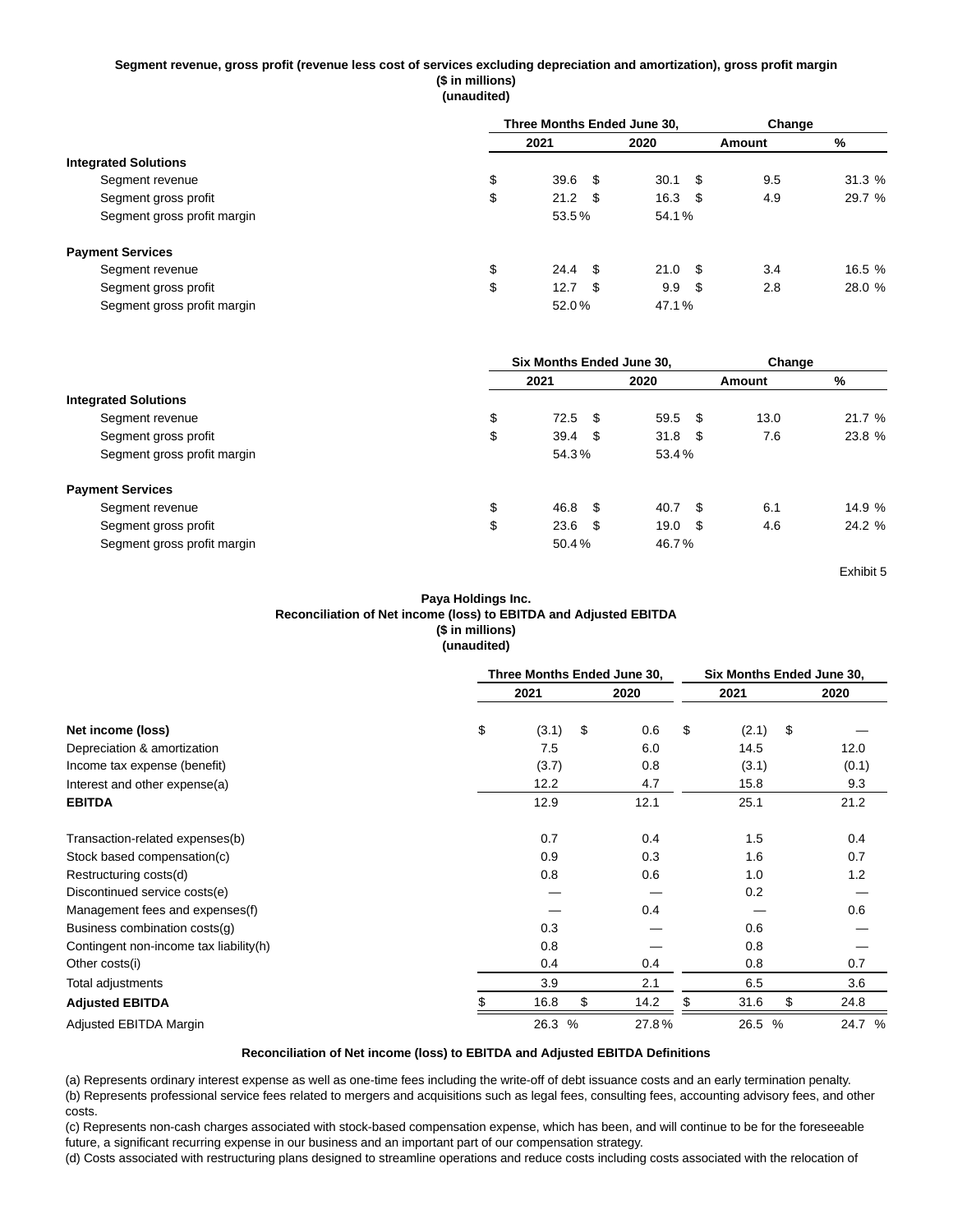### **Segment revenue, gross profit (revenue less cost of services excluding depreciation and amortization), gross profit margin (\$ in millions) (unaudited)**

|                             | Three Months Ended June 30, |  | Change         |      |        |        |  |
|-----------------------------|-----------------------------|--|----------------|------|--------|--------|--|
|                             | 2021                        |  | 2020           |      | Amount | %      |  |
| <b>Integrated Solutions</b> |                             |  |                |      |        |        |  |
| Segment revenue             | \$<br>$39.6$ \$             |  | 30.1           | - \$ | 9.5    | 31.3 % |  |
| Segment gross profit        | \$<br>$21.2 \quad$ \$       |  | 16.3           | - \$ | 4.9    | 29.7 % |  |
| Segment gross profit margin | 53.5%                       |  | 54.1%          |      |        |        |  |
| <b>Payment Services</b>     |                             |  |                |      |        |        |  |
| Segment revenue             | \$<br>$24.4$ \$             |  | $21.0\quad$ \$ |      | 3.4    | 16.5 % |  |
| Segment gross profit        | \$<br>$12.7$ \$             |  | 9.9            | - \$ | 2.8    | 28.0 % |  |
| Segment gross profit margin | 52.0%                       |  | 47.1%          |      |        |        |  |

|                             | Six Months Ended June 30, |      |       |      | Change |        |  |
|-----------------------------|---------------------------|------|-------|------|--------|--------|--|
|                             | 2021                      |      | 2020  |      | Amount | %      |  |
| <b>Integrated Solutions</b> |                           |      |       |      |        |        |  |
| Segment revenue             | \$<br>$72.5$ \$           |      | 59.5  | - \$ | 13.0   | 21.7 % |  |
| Segment gross profit        | \$<br>39.4                | - \$ | 31.8  | - \$ | 7.6    | 23.8 % |  |
| Segment gross profit margin | 54.3%                     |      | 53.4% |      |        |        |  |
| <b>Payment Services</b>     |                           |      |       |      |        |        |  |
| Segment revenue             | \$<br>46.8 \$             |      | 40.7  | - \$ | 6.1    | 14.9 % |  |
| Segment gross profit        | \$<br>$23.6\quad$         |      | 19.0  | - \$ | 4.6    | 24.2%  |  |
| Segment gross profit margin | 50.4%                     |      | 46.7% |      |        |        |  |

Exhibit 5

## **Paya Holdings Inc. Reconciliation of Net income (loss) to EBITDA and Adjusted EBITDA (\$ in millions) (unaudited)**

|                                        | Three Months Ended June 30, |    |       |    | Six Months Ended June 30, |    |        |  |  |
|----------------------------------------|-----------------------------|----|-------|----|---------------------------|----|--------|--|--|
|                                        | 2021                        |    | 2020  |    | 2021                      |    | 2020   |  |  |
| Net income (loss)                      | \$<br>(3.1)                 | \$ | 0.6   | \$ | (2.1)                     | \$ |        |  |  |
| Depreciation & amortization            | 7.5                         |    | 6.0   |    | 14.5                      |    | 12.0   |  |  |
| Income tax expense (benefit)           | (3.7)                       |    | 0.8   |    | (3.1)                     |    | (0.1)  |  |  |
| Interest and other expense(a)          | 12.2                        |    | 4.7   |    | 15.8                      |    | 9.3    |  |  |
| <b>EBITDA</b>                          | 12.9                        |    | 12.1  |    | 25.1                      |    | 21.2   |  |  |
| Transaction-related expenses(b)        | 0.7                         |    | 0.4   |    | 1.5                       |    | 0.4    |  |  |
| Stock based compensation(c)            | 0.9                         |    | 0.3   |    | 1.6                       |    | 0.7    |  |  |
| Restructuring costs(d)                 | 0.8                         |    | 0.6   |    | 1.0                       |    | 1.2    |  |  |
| Discontinued service costs(e)          |                             |    |       |    | 0.2                       |    |        |  |  |
| Management fees and expenses(f)        |                             |    | 0.4   |    |                           |    | 0.6    |  |  |
| Business combination costs(g)          | 0.3                         |    |       |    | 0.6                       |    |        |  |  |
| Contingent non-income tax liability(h) | 0.8                         |    |       |    | 0.8                       |    |        |  |  |
| Other costs(i)                         | 0.4                         |    | 0.4   |    | 0.8                       |    | 0.7    |  |  |
| Total adjustments                      | 3.9                         |    | 2.1   |    | 6.5                       |    | 3.6    |  |  |
| <b>Adjusted EBITDA</b>                 | 16.8                        | \$ | 14.2  | \$ | 31.6                      | \$ | 24.8   |  |  |
| Adjusted EBITDA Margin                 | 26.3 %                      |    | 27.8% |    | 26.5 %                    |    | 24.7 % |  |  |

## **Reconciliation of Net income (loss) to EBITDA and Adjusted EBITDA Definitions**

(a) Represents ordinary interest expense as well as one-time fees including the write-off of debt issuance costs and an early termination penalty. (b) Represents professional service fees related to mergers and acquisitions such as legal fees, consulting fees, accounting advisory fees, and other costs.

(c) Represents non-cash charges associated with stock-based compensation expense, which has been, and will continue to be for the foreseeable future, a significant recurring expense in our business and an important part of our compensation strategy.

(d) Costs associated with restructuring plans designed to streamline operations and reduce costs including costs associated with the relocation of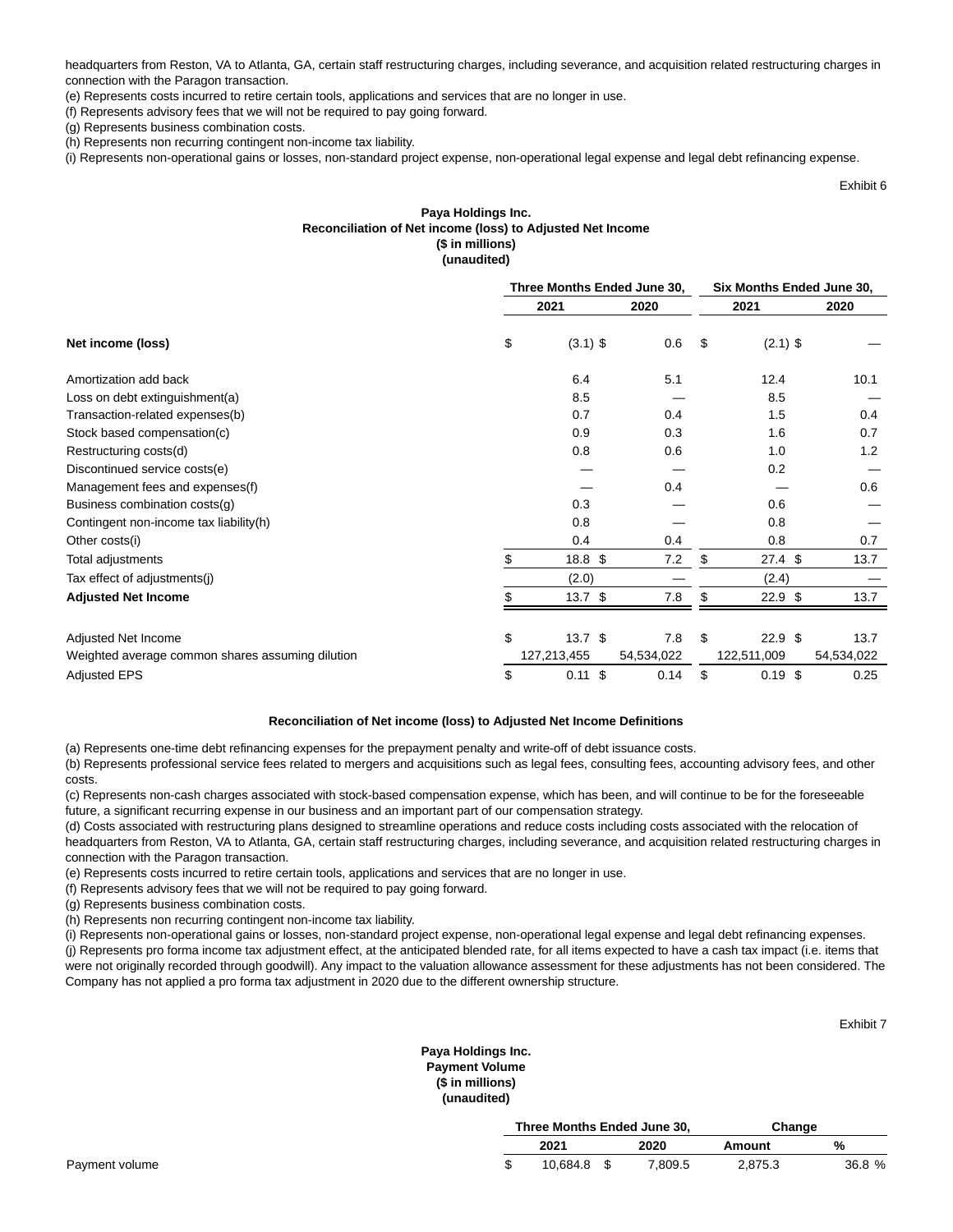headquarters from Reston, VA to Atlanta, GA, certain staff restructuring charges, including severance, and acquisition related restructuring charges in connection with the Paragon transaction.

(e) Represents costs incurred to retire certain tools, applications and services that are no longer in use.

(f) Represents advisory fees that we will not be required to pay going forward.

(g) Represents business combination costs.

(h) Represents non recurring contingent non-income tax liability.

(i) Represents non-operational gains or losses, non-standard project expense, non-operational legal expense and legal debt refinancing expense.

Exhibit 6

## **Paya Holdings Inc. Reconciliation of Net income (loss) to Adjusted Net Income (\$ in millions) (unaudited)**

|                                                  | Three Months Ended June 30, |  |            |               | Six Months Ended June 30, |            |  |  |
|--------------------------------------------------|-----------------------------|--|------------|---------------|---------------------------|------------|--|--|
|                                                  | 2021                        |  | 2020       |               | 2021                      | 2020       |  |  |
| Net income (loss)                                | \$<br>$(3.1)$ \$            |  | 0.6        | $\sqrt[3]{2}$ | $(2.1)$ \$                |            |  |  |
| Amortization add back                            | 6.4                         |  | 5.1        |               | 12.4                      | 10.1       |  |  |
| Loss on debt extinguishment(a)                   | 8.5                         |  |            |               | 8.5                       |            |  |  |
| Transaction-related expenses(b)                  | 0.7                         |  | 0.4        |               | 1.5                       | 0.4        |  |  |
| Stock based compensation(c)                      | 0.9                         |  | 0.3        |               | 1.6                       | 0.7        |  |  |
| Restructuring costs(d)                           | 0.8                         |  | 0.6        |               | 1.0                       | 1.2        |  |  |
| Discontinued service costs(e)                    |                             |  |            |               | 0.2                       |            |  |  |
| Management fees and expenses(f)                  |                             |  | 0.4        |               |                           | 0.6        |  |  |
| Business combination costs(g)                    | 0.3                         |  |            |               | 0.6                       |            |  |  |
| Contingent non-income tax liability(h)           | 0.8                         |  |            |               | 0.8                       |            |  |  |
| Other costs(i)                                   | 0.4                         |  | 0.4        |               | 0.8                       | 0.7        |  |  |
| Total adjustments                                | \$<br>18.8 \$               |  | 7.2        | \$            | $27.4$ \$                 | 13.7       |  |  |
| Tax effect of adjustments(j)                     | (2.0)                       |  |            |               | (2.4)                     |            |  |  |
| <b>Adjusted Net Income</b>                       | 13.7 <sup>°</sup>           |  | 7.8        | \$            | $22.9$ \$                 | 13.7       |  |  |
|                                                  | \$                          |  | 7.8        | \$            | 22.9 <sup>5</sup>         |            |  |  |
| Adjusted Net Income                              | 13.7 <sup>°</sup>           |  |            |               |                           | 13.7       |  |  |
| Weighted average common shares assuming dilution | 127,213,455                 |  | 54,534,022 |               | 122,511,009               | 54,534,022 |  |  |
| <b>Adjusted EPS</b>                              | \$<br>$0.11$ \$             |  | 0.14       | \$            | $0.19$ \$                 | 0.25       |  |  |

#### **Reconciliation of Net income (loss) to Adjusted Net Income Definitions**

(a) Represents one-time debt refinancing expenses for the prepayment penalty and write-off of debt issuance costs.

(b) Represents professional service fees related to mergers and acquisitions such as legal fees, consulting fees, accounting advisory fees, and other costs.

(c) Represents non-cash charges associated with stock-based compensation expense, which has been, and will continue to be for the foreseeable future, a significant recurring expense in our business and an important part of our compensation strategy.

(d) Costs associated with restructuring plans designed to streamline operations and reduce costs including costs associated with the relocation of headquarters from Reston, VA to Atlanta, GA, certain staff restructuring charges, including severance, and acquisition related restructuring charges in connection with the Paragon transaction.

(e) Represents costs incurred to retire certain tools, applications and services that are no longer in use.

(f) Represents advisory fees that we will not be required to pay going forward.

(g) Represents business combination costs.

(h) Represents non recurring contingent non-income tax liability.

(i) Represents non-operational gains or losses, non-standard project expense, non-operational legal expense and legal debt refinancing expenses. (j) Represents pro forma income tax adjustment effect, at the anticipated blended rate, for all items expected to have a cash tax impact (i.e. items that were not originally recorded through goodwill). Any impact to the valuation allowance assessment for these adjustments has not been considered. The Company has not applied a pro forma tax adjustment in 2020 due to the different ownership structure.

Exhibit 7

## **Paya Holdings Inc. Payment Volume (\$ in millions) (unaudited)**

|          |         | Change                      |        |  |
|----------|---------|-----------------------------|--------|--|
| 2021     | 2020    | Amount                      | %      |  |
| 10.684.8 | 7,809.5 | 2,875.3                     | 36.8 % |  |
|          |         | Three Months Ended June 30. |        |  |